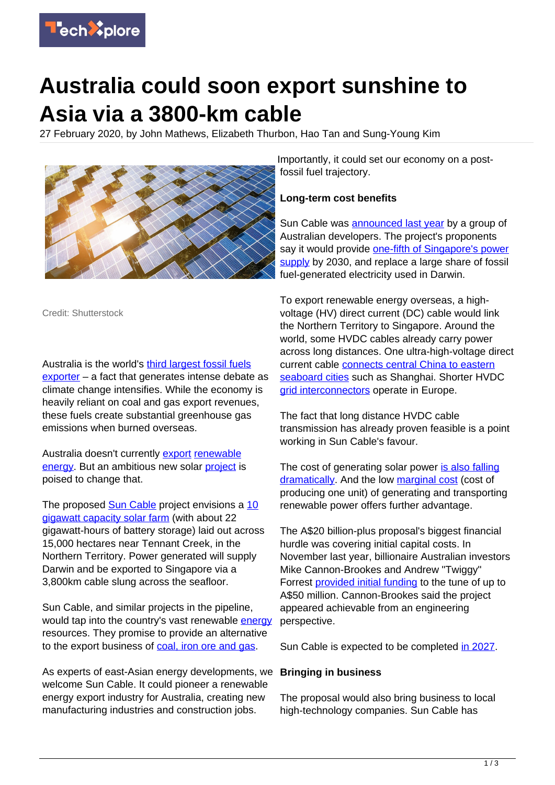

# **Australia could soon export sunshine to Asia via a 3800-km cable**

27 February 2020, by John Mathews, Elizabeth Thurbon, Hao Tan and Sung-Young Kim



Credit: Shutterstock

Australia is the world's [third largest fossil fuels](https://www.theguardian.com/environment/2019/aug/19/australia-is-third-largest-exporter-of-fossil-fuels-behind-russia-and-saudi-arabia) [exporter](https://www.theguardian.com/environment/2019/aug/19/australia-is-third-largest-exporter-of-fossil-fuels-behind-russia-and-saudi-arabia) – a fact that generates intense debate as climate change intensifies. While the economy is heavily reliant on coal and gas export revenues, these fuels create substantial greenhouse gas emissions when burned overseas.

Australia doesn't currently [export](https://techxplore.com/tags/export/) [renewable](https://techxplore.com/tags/renewable+energy/) [energy.](https://techxplore.com/tags/renewable+energy/) But an ambitious new solar [project](https://techxplore.com/tags/project/) is poised to change that.

The proposed [Sun Cable](https://www.suncable.sg/) project envisions a [10](https://www.theguardian.com/environment/2019/nov/20/billionaires-invest-in-giant-australian-solar-farm-to-supply-power-to-singapore) [gigawatt capacity solar farm](https://www.theguardian.com/environment/2019/nov/20/billionaires-invest-in-giant-australian-solar-farm-to-supply-power-to-singapore) (with about 22 gigawatt-hours of battery storage) laid out across 15,000 hectares near Tennant Creek, in the Northern Territory. Power generated will supply Darwin and be exported to Singapore via a 3,800km cable slung across the seafloor.

Sun Cable, and similar projects in the pipeline, would tap into the country's vast renewable [energy](https://techxplore.com/tags/energy/) resources. They promise to provide an alternative to the export business of [coal, iron ore and gas](https://oec.world/en/profile/country/aus/).

As experts of east-Asian energy developments, we welcome Sun Cable. It could pioneer a renewable energy export industry for Australia, creating new manufacturing industries and construction jobs.

Importantly, it could set our economy on a postfossil fuel trajectory.

### **Long-term cost benefits**

Sun Cable was [announced last year](https://www.theguardian.com/environment/2019/jul/14/just-a-matter-of-when-the-20bn-plan-to-power-singapore-with-australian-solar) by a group of Australian developers. The project's proponents say it would provide [one-fifth of Singapore's power](https://www.suncable.sg/) [supply](https://www.suncable.sg/) by 2030, and replace a large share of fossil fuel-generated electricity used in Darwin.

To export renewable energy overseas, a highvoltage (HV) direct current (DC) cable would link the Northern Territory to Singapore. Around the world, some HVDC cables already carry power across long distances. One ultra-high-voltage direct current cable [connects central China to eastern](https://spectrum.ieee.org/energywise/energy/the-smarter-grid/chinas-state-grid-corp-crushes-power-transmission-records) [seaboard cities](https://spectrum.ieee.org/energywise/energy/the-smarter-grid/chinas-state-grid-corp-crushes-power-transmission-records) such as Shanghai. Shorter HVDC arid interconnectors operate in Europe.

The fact that long distance HVDC cable transmission has already proven feasible is a point working in Sun Cable's favour.

The cost of generating solar power [is also falling](https://www.irena.org/newsroom/pressreleases/2019/May/Falling-Renewable-Power-Costs-Open-Door-to-Greater-Climate-Ambition) [dramatically](https://www.irena.org/newsroom/pressreleases/2019/May/Falling-Renewable-Power-Costs-Open-Door-to-Greater-Climate-Ambition). And the low [marginal cost](https://www.irena.org/newsroom/pressreleases/2019/May/Falling-Renewable-Power-Costs-Open-Door-to-Greater-Climate-Ambition) (cost of producing one unit) of generating and transporting renewable power offers further advantage.

The A\$20 billion-plus proposal's biggest financial hurdle was covering initial capital costs. In November last year, billionaire Australian investors Mike Cannon-Brookes and Andrew "Twiggy" Forrest [provided initial funding](https://www.afr.com/companies/energy/twiggy-joins-cannon-brookes-in-backing-sun-cable-20191120-p53cef) to the tune of up to A\$50 million. Cannon-Brookes said the project appeared achievable from an engineering perspective.

Sun Cable is expected to be completed [in 2027.](https://www.theguardian.com/environment/2019/nov/20/billionaires-invest-in-giant-australian-solar-farm-to-supply-power-to-singapore)

#### **Bringing in business**

The proposal would also bring business to local high-technology companies. Sun Cable has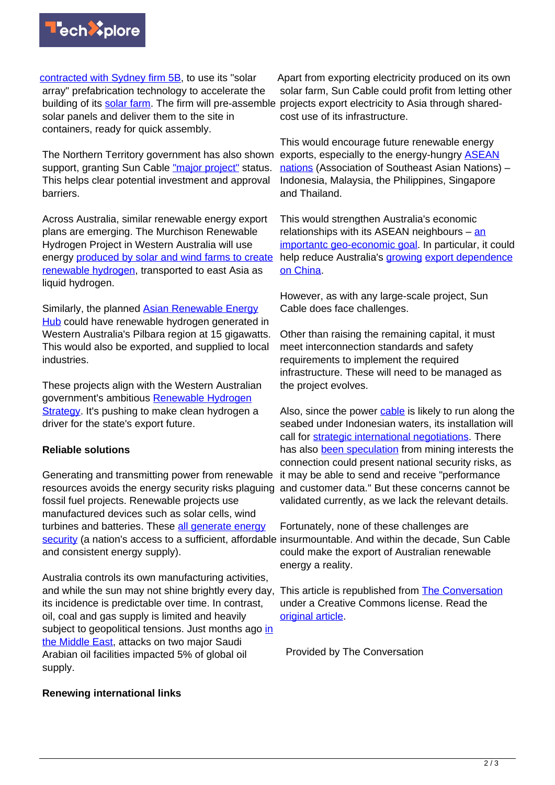

[contracted with Sydney firm 5B](https://5b.com.au/news/press-release-5b-sun-cable-announce-plans-worlds-largest-solar-farm-northern-territory-australia/), to use its "solar array" prefabrication technology to accelerate the building of its [solar farm.](https://techxplore.com/tags/solar+farm/) The firm will pre-assemble projects export electricity to Asia through sharedsolar panels and deliver them to the site in containers, ready for quick assembly.

The Northern Territory government has also shown support, granting Sun Cable ["major project"](http://newsroom.nt.gov.au/mediaRelease/31259) status. This helps clear potential investment and approval barriers.

Across Australia, similar renewable energy export plans are emerging. The Murchison Renewable Hydrogen Project in Western Australia will use energy [produced by solar and wind farms to create](https://new.siemens.com/au/en/company/press-centre/2019/murchison-renewable-hydrogen-project.html) [renewable hydrogen](https://new.siemens.com/au/en/company/press-centre/2019/murchison-renewable-hydrogen-project.html), transported to east Asia as liquid hydrogen.

Similarly, the planned [Asian Renewable Energy](https://asianrehub.com/) [Hub](https://asianrehub.com/) could have renewable hydrogen generated in Western Australia's Pilbara region at 15 gigawatts. This would also be exported, and supplied to local industries.

These projects align with the Western Australian government's ambitious [Renewable Hydrogen](http://www.drd.wa.gov.au/Publications/Documents/wa_renewable_hydrogen_strategy.pdf) [Strategy](http://www.drd.wa.gov.au/Publications/Documents/wa_renewable_hydrogen_strategy.pdf). It's pushing to make clean hydrogen a driver for the state's export future.

## **Reliable solutions**

Generating and transmitting power from renewable resources avoids the energy security risks plaguing fossil fuel projects. Renewable projects use manufactured devices such as solar cells, wind turbines and batteries. These [all generate energy](https://www.nature.com/news/economics-manufacture-renewables-to-build-energy-security-1.15847) [security](https://www.nature.com/news/economics-manufacture-renewables-to-build-energy-security-1.15847) (a nation's access to a sufficient, affordable insurmountable. And within the decade, Sun Cable and consistent energy supply).

Australia controls its own manufacturing activities, and while the sun may not shine brightly every day, its incidence is predictable over time. In contrast, oil, coal and gas supply is limited and heavily subject to geopolitical tensions. Just months ago [in](https://www.aljazeera.com/news/2019/09/saudi-oil-attacks-latest-updates-190916102800973.html) [the Middle East](https://www.aljazeera.com/news/2019/09/saudi-oil-attacks-latest-updates-190916102800973.html), attacks on two major Saudi Arabian oil facilities impacted 5% of global oil supply.

#### **Renewing international links**

Apart from exporting electricity produced on its own solar farm, Sun Cable could profit from letting other cost use of its infrastructure.

This would encourage future renewable energy exports, especially to the energy-hungry [ASEAN](https://asean.org/) [nations](https://asean.org/) (Association of Southeast Asian Nations) – Indonesia, Malaysia, the Philippines, Singapore and Thailand.

This would strengthen Australia's economic relationships with its ASEAN neighbours – [an](https://www.eastasiaforum.org/2019/12/18/grand-opportunities-for-australias-hydrogen-industry-and-for-a-strategic-regional-rebalancing/) [importantc geo-economic goal.](https://www.eastasiaforum.org/2019/12/18/grand-opportunities-for-australias-hydrogen-industry-and-for-a-strategic-regional-rebalancing/) In particular, it could help reduce Australia's **growing [export dependence](https://www.abc.net.au/news/2019-01-15/china-economy-slowdown-will-affect-australia/10716240)** [on China](https://www.abc.net.au/news/2019-01-15/china-economy-slowdown-will-affect-australia/10716240).

However, as with any large-scale project, Sun Cable does face challenges.

Other than raising the remaining capital, it must meet interconnection standards and safety requirements to implement the required infrastructure. These will need to be managed as the project evolves.

Also, since the power [cable](https://techxplore.com/tags/cable/) is likely to run along the seabed under Indonesian waters, its installation will call for [strategic international negotiations.](https://www.mdpi.com/1996-1073/11/1/200/pdf) There has also [been speculation](https://www.alicespringsnews.com.au/2019/11/23/20bn-sun-cable-has-national-security-risks-expert-warns/) from mining interests the connection could present national security risks, as it may be able to send and receive "performance and customer data." But these concerns cannot be validated currently, as we lack the relevant details.

Fortunately, none of these challenges are could make the export of Australian renewable energy a reality.

This article is republished from **[The Conversation](http://theconversation.com)** under a Creative Commons license. Read the [original article](https://theconversation.com/it-might-sound-batshit-insane-but-australia-could-soon-export-sunshine-to-asia-via-a-3-800km-cable-127612).

Provided by The Conversation